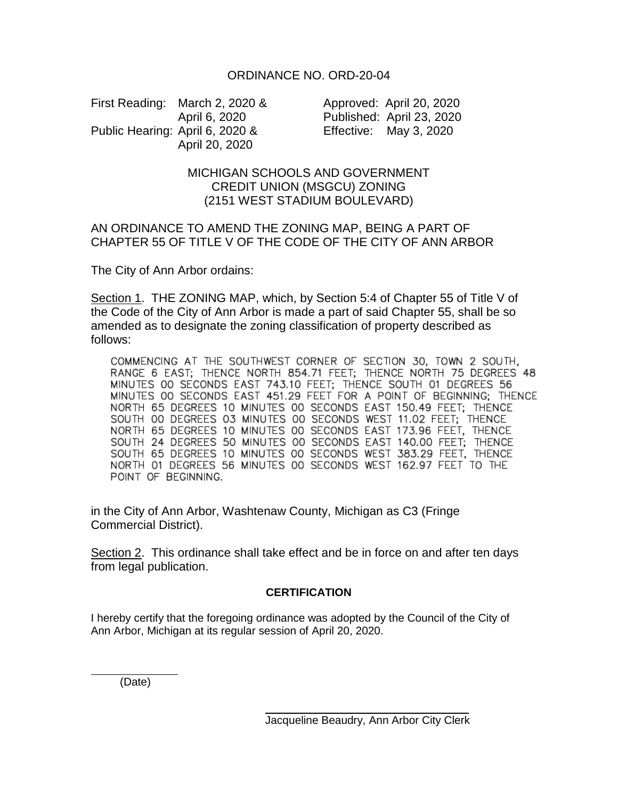First Reading: March 2, 2020 & Approved: April 20, 2020 Public Hearing: April 6, 2020 & Effective: May 3, 2020 April 20, 2020

April 6, 2020 Published: April 23, 2020

## MICHIGAN SCHOOLS AND GOVERNMENT CREDIT UNION (MSGCU) ZONING (2151 WEST STADIUM BOULEVARD)

## AN ORDINANCE TO AMEND THE ZONING MAP, BEING A PART OF CHAPTER 55 OF TITLE V OF THE CODE OF THE CITY OF ANN ARBOR

The City of Ann Arbor ordains:

Section 1. THE ZONING MAP, which, by Section 5:4 of Chapter 55 of Title V of the Code of the City of Ann Arbor is made a part of said Chapter 55, shall be so amended as to designate the zoning classification of property described as follows:

COMMENCING AT THE SOUTHWEST CORNER OF SECTION 30, TOWN 2 SOUTH, RANGE 6 EAST; THENCE NORTH 854.71 FEET; THENCE NORTH 75 DEGREES 48 MINUTES 00 SECONDS EAST 743.10 FEET; THENCE SOUTH 01 DEGREES 56 MINUTES OO SECONDS EAST 451.29 FEET FOR A POINT OF BEGINNING; THENCE NORTH 65 DEGREES 10 MINUTES 00 SECONDS EAST 150.49 FEET; THENCE SOUTH OO DEGREES 03 MINUTES OO SECONDS WEST 11.02 FEET; THENCE NORTH 65 DEGREES 10 MINUTES 00 SECONDS EAST 173.96 FEET, THENCE SOUTH 24 DEGREES 50 MINUTES 00 SECONDS EAST 140.00 FEET; THENCE SOUTH 65 DEGREES 10 MINUTES 00 SECONDS WEST 383.29 FEET, THENCE NORTH 01 DEGREES 56 MINUTES 00 SECONDS WEST 162.97 FEET TO THE POINT OF BEGINNING.

in the City of Ann Arbor, Washtenaw County, Michigan as C3 (Fringe Commercial District).

Section 2. This ordinance shall take effect and be in force on and after ten days from legal publication.

## **CERTIFICATION**

I hereby certify that the foregoing ordinance was adopted by the Council of the City of Ann Arbor, Michigan at its regular session of April 20, 2020.

(Date)